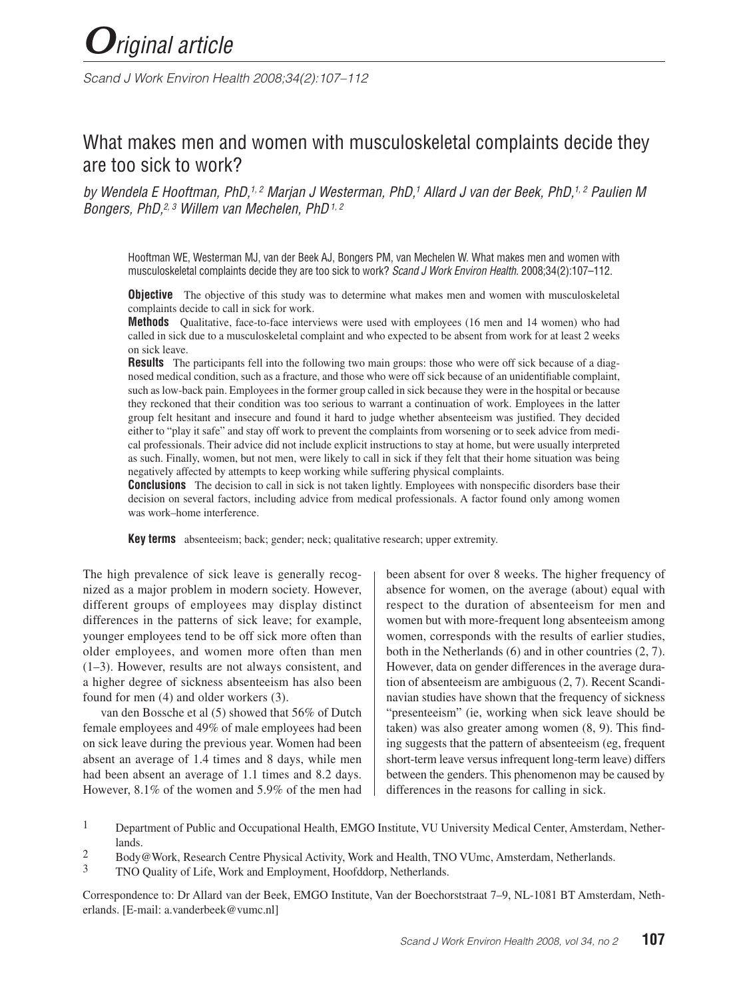*Scand J Work Environ Health 2008;34(2):107–112*

# What makes men and women with musculoskeletal complaints decide they are too sick to work?

*by Wendela E Hooftman, PhD,1, 2 Marjan J Westerman, PhD,1 Allard J van der Beek, PhD,1, 2 Paulien M Bongers, PhD,2, 3 Willem van Mechelen, PhD 1, 2*

Hooftman WE, Westerman MJ, van der Beek AJ, Bongers PM, van Mechelen W. What makes men and women with musculoskeletal complaints decide they are too sick to work? *Scand J Work Environ Health*. 2008;34(2):107–112.

**Objective** The objective of this study was to determine what makes men and women with musculoskeletal complaints decide to call in sick for work.

**Methods** Qualitative, face-to-face interviews were used with employees (16 men and 14 women) who had called in sick due to a musculoskeletal complaint and who expected to be absent from work for at least 2 weeks on sick leave.

**Results** The participants fell into the following two main groups: those who were off sick because of a diagnosed medical condition, such as a fracture, and those who were off sick because of an unidentifiable complaint, such as low-back pain. Employees in the former group called in sick because they were in the hospital or because they reckoned that their condition was too serious to warrant a continuation of work. Employees in the latter group felt hesitant and insecure and found it hard to judge whether absenteeism was justified. They decided either to "play it safe" and stay off work to prevent the complaints from worsening or to seek advice from medical professionals. Their advice did not include explicit instructions to stay at home, but were usually interpreted as such. Finally, women, but not men, were likely to call in sick if they felt that their home situation was being negatively affected by attempts to keep working while suffering physical complaints.

**Conclusions** The decision to call in sick is not taken lightly. Employees with nonspecific disorders base their decision on several factors, including advice from medical professionals. A factor found only among women was work–home interference.

**Key terms** absenteeism; back; gender; neck; qualitative research; upper extremity.

The high prevalence of sick leave is generally recognized as a major problem in modern society. However, different groups of employees may display distinct differences in the patterns of sick leave; for example, younger employees tend to be off sick more often than older employees, and women more often than men (1–3). However, results are not always consistent, and a higher degree of sickness absenteeism has also been found for men (4) and older workers (3).

van den Bossche et al (5) showed that 56% of Dutch female employees and 49% of male employees had been on sick leave during the previous year. Women had been absent an average of 1.4 times and 8 days, while men had been absent an average of 1.1 times and 8.2 days. However, 8.1% of the women and 5.9% of the men had been absent for over 8 weeks. The higher frequency of absence for women, on the average (about) equal with respect to the duration of absenteeism for men and women but with more-frequent long absenteeism among women, corresponds with the results of earlier studies, both in the Netherlands (6) and in other countries (2, 7). However, data on gender differences in the average duration of absenteeism are ambiguous (2, 7). Recent Scandinavian studies have shown that the frequency of sickness "presenteeism" (ie, working when sick leave should be taken) was also greater among women (8, 9). This finding suggests that the pattern of absenteeism (eg, frequent short-term leave versus infrequent long-term leave) differs between the genders. This phenomenon may be caused by differences in the reasons for calling in sick.

- <sup>1</sup> Department of Public and Occupational Health, EMGO Institute, VU University Medical Center, Amsterdam, Netherlands.
- 2 Body@Work, Research Centre Physical Activity, Work and Health, TNO VUmc, Amsterdam, Netherlands.<br>
TNO Quality of Life Work and Employment Hoofddorp, Netherlands.
- TNO Quality of Life, Work and Employment, Hoofddorp, Netherlands.

Correspondence to: Dr Allard van der Beek, EMGO Institute, Van der Boechorststraat 7–9, NL-1081 BT Amsterdam, Netherlands. [E-mail: a.vanderbeek@vumc.nl]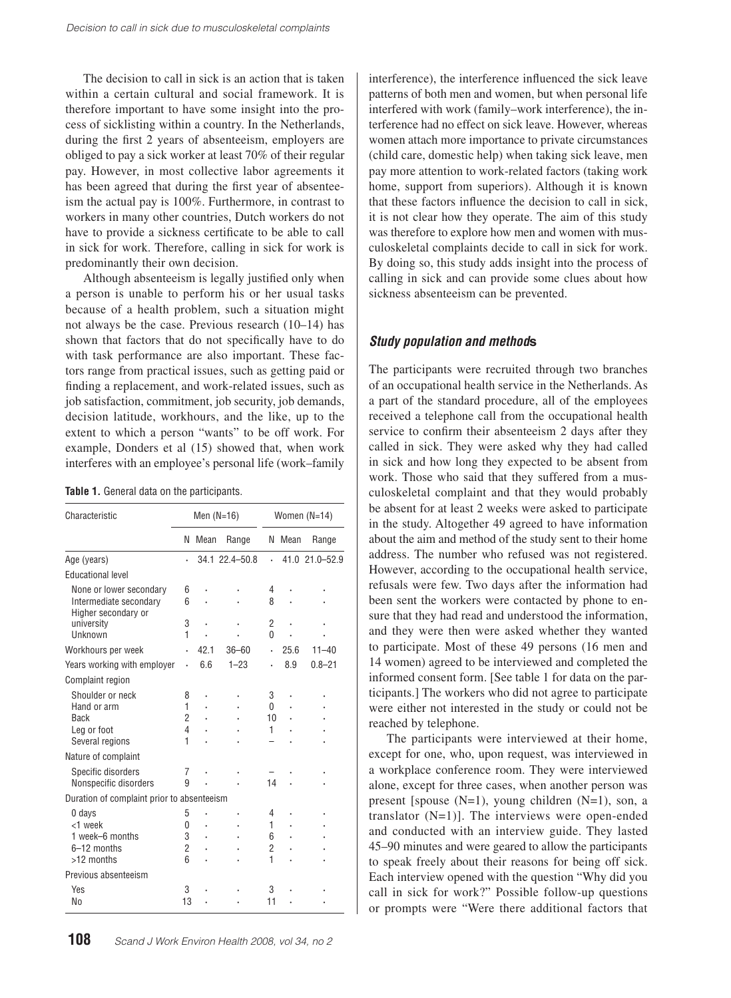The decision to call in sick is an action that is taken within a certain cultural and social framework. It is therefore important to have some insight into the process of sicklisting within a country. In the Netherlands, during the first 2 years of absenteeism, employers are obliged to pay a sick worker at least 70% of their regular pay. However, in most collective labor agreements it has been agreed that during the first year of absenteeism the actual pay is 100%. Furthermore, in contrast to workers in many other countries, Dutch workers do not have to provide a sickness certificate to be able to call in sick for work. Therefore, calling in sick for work is predominantly their own decision.

Although absenteeism is legally justified only when a person is unable to perform his or her usual tasks because of a health problem, such a situation might not always be the case. Previous research (10–14) has shown that factors that do not specifically have to do with task performance are also important. These factors range from practical issues, such as getting paid or finding a replacement, and work-related issues, such as job satisfaction, commitment, job security, job demands, decision latitude, workhours, and the like, up to the extent to which a person "wants" to be off work. For example, Donders et al (15) showed that, when work interferes with an employee's personal life (work–family

|  |  |  |  |  | <b>Table 1.</b> General data on the participants. |
|--|--|--|--|--|---------------------------------------------------|
|--|--|--|--|--|---------------------------------------------------|

| Characteristic                                                           | Men $(N=16)$   |      |                | Women $(N=14)$ |      |                |
|--------------------------------------------------------------------------|----------------|------|----------------|----------------|------|----------------|
|                                                                          | N              | Mean | Range          | N              | Mean | Range          |
| Age (years)                                                              |                |      | 34.1 22.4-50.8 |                |      | 41.0 21.0-52.9 |
| <b>Educational level</b>                                                 |                |      |                |                |      |                |
| None or lower secondary<br>Intermediate secondary<br>Higher secondary or | 6<br>6         |      |                | 4<br>8         |      |                |
| university<br>Unknown                                                    | 3<br>1         |      |                | 2<br>$\Omega$  |      |                |
| Workhours per week                                                       |                | 42.1 | $36 - 60$      |                | 25.6 | $11 - 40$      |
| Years working with employer                                              |                | 6.6  | $1 - 23$       |                | 8.9  | $0.8 - 21$     |
| Complaint region                                                         |                |      |                |                |      |                |
| Shoulder or neck<br>Hand or arm                                          | 8<br>1         |      |                | 3<br>0         |      |                |
| Back                                                                     | 2              |      |                | 10             |      |                |
| Leg or foot                                                              | 4              |      |                | 1              |      |                |
| Several regions                                                          |                |      |                |                |      |                |
| Nature of complaint                                                      |                |      |                |                |      |                |
| Specific disorders                                                       | 7              |      |                |                |      |                |
| Nonspecific disorders                                                    | 9              |      |                | 14             |      |                |
| Duration of complaint prior to absenteeism                               |                |      |                |                |      |                |
| 0 days                                                                   | 5              |      |                | 4              |      |                |
| <1 week                                                                  | 0              |      |                | 1              |      |                |
| 1 week-6 months                                                          | 3              |      |                | 6              |      |                |
| 6-12 months                                                              | $\overline{2}$ |      |                | 2              |      |                |
| >12 months                                                               | 6              |      |                | 1              |      |                |
| Previous absenteeism                                                     |                |      |                |                |      |                |
| <b>Yes</b>                                                               | 3              |      |                | 3              |      |                |
| No                                                                       | 13             |      |                | 11             |      |                |

interference), the interference influenced the sick leave patterns of both men and women, but when personal life interfered with work (family–work interference), the interference had no effect on sick leave. However, whereas women attach more importance to private circumstances (child care, domestic help) when taking sick leave, men pay more attention to work-related factors (taking work home, support from superiors). Although it is known that these factors influence the decision to call in sick, it is not clear how they operate. The aim of this study was therefore to explore how men and women with musculoskeletal complaints decide to call in sick for work. By doing so, this study adds insight into the process of calling in sick and can provide some clues about how sickness absenteeism can be prevented.

# *Study population and method***s**

The participants were recruited through two branches of an occupational health service in the Netherlands. As a part of the standard procedure, all of the employees received a telephone call from the occupational health service to confirm their absenteeism 2 days after they called in sick. They were asked why they had called in sick and how long they expected to be absent from work. Those who said that they suffered from a musculoskeletal complaint and that they would probably be absent for at least 2 weeks were asked to participate in the study. Altogether 49 agreed to have information about the aim and method of the study sent to their home address. The number who refused was not registered. However, according to the occupational health service, refusals were few. Two days after the information had been sent the workers were contacted by phone to ensure that they had read and understood the information, and they were then were asked whether they wanted to participate. Most of these 49 persons (16 men and 14 women) agreed to be interviewed and completed the informed consent form. [See table 1 for data on the participants.] The workers who did not agree to participate were either not interested in the study or could not be reached by telephone.

The participants were interviewed at their home, except for one, who, upon request, was interviewed in a workplace conference room. They were interviewed alone, except for three cases, when another person was present [spouse  $(N=1)$ , young children  $(N=1)$ , son, a translator (N=1)]. The interviews were open-ended and conducted with an interview guide. They lasted 45–90 minutes and were geared to allow the participants to speak freely about their reasons for being off sick. Each interview opened with the question "Why did you call in sick for work?" Possible follow-up questions or prompts were "Were there additional factors that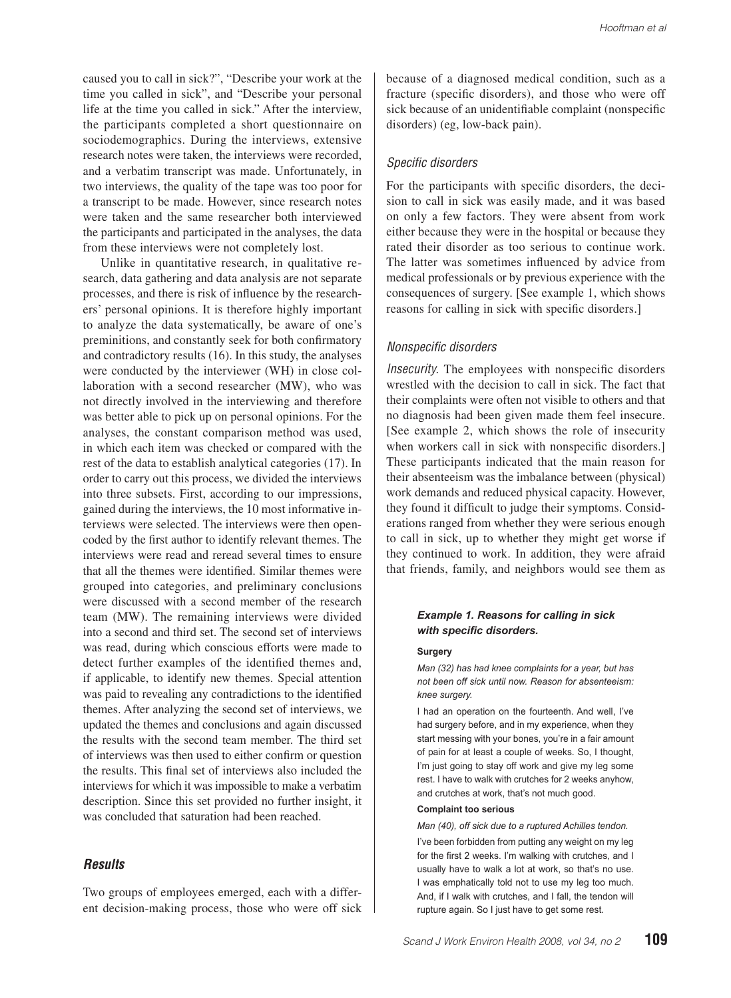caused you to call in sick?", "Describe your work at the time you called in sick", and "Describe your personal life at the time you called in sick." After the interview, the participants completed a short questionnaire on sociodemographics. During the interviews, extensive research notes were taken, the interviews were recorded, and a verbatim transcript was made. Unfortunately, in two interviews, the quality of the tape was too poor for a transcript to be made. However, since research notes were taken and the same researcher both interviewed the participants and participated in the analyses, the data from these interviews were not completely lost.

Unlike in quantitative research, in qualitative research, data gathering and data analysis are not separate processes, and there is risk of influence by the researchers' personal opinions. It is therefore highly important to analyze the data systematically, be aware of one's preminitions, and constantly seek for both confirmatory and contradictory results (16). In this study, the analyses were conducted by the interviewer (WH) in close collaboration with a second researcher (MW), who was not directly involved in the interviewing and therefore was better able to pick up on personal opinions. For the analyses, the constant comparison method was used, in which each item was checked or compared with the rest of the data to establish analytical categories (17). In order to carry out this process, we divided the interviews into three subsets. First, according to our impressions, gained during the interviews, the 10 most informative interviews were selected. The interviews were then opencoded by the first author to identify relevant themes. The interviews were read and reread several times to ensure that all the themes were identified. Similar themes were grouped into categories, and preliminary conclusions were discussed with a second member of the research team (MW). The remaining interviews were divided into a second and third set. The second set of interviews was read, during which conscious efforts were made to detect further examples of the identified themes and, if applicable, to identify new themes. Special attention was paid to revealing any contradictions to the identified themes. After analyzing the second set of interviews, we updated the themes and conclusions and again discussed the results with the second team member. The third set of interviews was then used to either confirm or question the results. This final set of interviews also included the interviews for which it was impossible to make a verbatim description. Since this set provided no further insight, it was concluded that saturation had been reached.

# *Results*

Two groups of employees emerged, each with a different decision-making process, those who were off sick because of a diagnosed medical condition, such as a fracture (specific disorders), and those who were off sick because of an unidentifiable complaint (nonspecific disorders) (eg, low-back pain).

# *Specific disorders*

For the participants with specific disorders, the decision to call in sick was easily made, and it was based on only a few factors. They were absent from work either because they were in the hospital or because they rated their disorder as too serious to continue work. The latter was sometimes influenced by advice from medical professionals or by previous experience with the consequences of surgery. [See example 1, which shows reasons for calling in sick with specific disorders.]

# *Nonspecific disorders*

*Insecurity.* The employees with nonspecific disorders wrestled with the decision to call in sick. The fact that their complaints were often not visible to others and that no diagnosis had been given made them feel insecure. [See example 2, which shows the role of insecurity when workers call in sick with nonspecific disorders.] These participants indicated that the main reason for their absenteeism was the imbalance between (physical) work demands and reduced physical capacity. However, they found it difficult to judge their symptoms. Considerations ranged from whether they were serious enough to call in sick, up to whether they might get worse if they continued to work. In addition, they were afraid that friends, family, and neighbors would see them as

# *Example 1. Reasons for calling in sick with specific disorders.*

#### **Surgery**

*Man (32) has had knee complaints for a year, but has not been off sick until now. Reason for absenteeism: knee surgery.*

I had an operation on the fourteenth. And well, I've had surgery before, and in my experience, when they start messing with your bones, you're in a fair amount of pain for at least a couple of weeks. So, I thought, I'm just going to stay off work and give my leg some rest. I have to walk with crutches for 2 weeks anyhow, and crutches at work, that's not much good.

# **Complaint too serious**

*Man (40), off sick due to a ruptured Achilles tendon.* 

I've been forbidden from putting any weight on my leg for the first 2 weeks. I'm walking with crutches, and I usually have to walk a lot at work, so that's no use. I was emphatically told not to use my leg too much. And, if I walk with crutches, and I fall, the tendon will rupture again. So I just have to get some rest.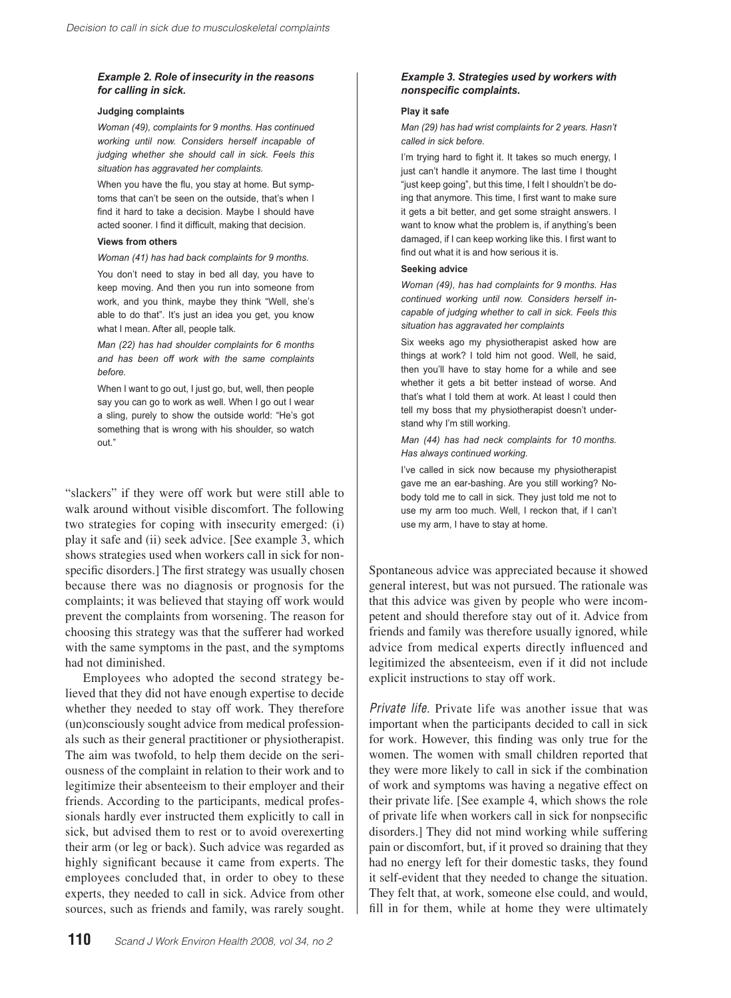# *Example 2. Role of insecurity in the reasons for calling in sick.*

#### **Judging complaints**

*Woman (49), complaints for 9 months. Has continued working until now. Considers herself incapable of judging whether she should call in sick. Feels this situation has aggravated her complaints.*

When you have the flu, you stay at home. But symptoms that can't be seen on the outside, that's when I find it hard to take a decision. Maybe I should have acted sooner. I find it difficult, making that decision.

#### **Views from others**

*Woman (41) has had back complaints for 9 months.*

You don't need to stay in bed all day, you have to keep moving. And then you run into someone from work, and you think, maybe they think "Well, she's able to do that". It's just an idea you get, you know what I mean. After all, people talk.

*Man (22) has had shoulder complaints for 6 months and has been off work with the same complaints before.*

When I want to go out, I just go, but, well, then people say you can go to work as well. When I go out I wear a sling, purely to show the outside world: "He's got something that is wrong with his shoulder, so watch out."

"slackers" if they were off work but were still able to walk around without visible discomfort. The following two strategies for coping with insecurity emerged: (i) play it safe and (ii) seek advice. [See example 3, which shows strategies used when workers call in sick for nonspecific disorders.] The first strategy was usually chosen because there was no diagnosis or prognosis for the complaints; it was believed that staying off work would prevent the complaints from worsening. The reason for choosing this strategy was that the sufferer had worked with the same symptoms in the past, and the symptoms had not diminished.

Employees who adopted the second strategy believed that they did not have enough expertise to decide whether they needed to stay off work. They therefore (un)consciously sought advice from medical professionals such as their general practitioner or physiotherapist. The aim was twofold, to help them decide on the seriousness of the complaint in relation to their work and to legitimize their absenteeism to their employer and their friends. According to the participants, medical professionals hardly ever instructed them explicitly to call in sick, but advised them to rest or to avoid overexerting their arm (or leg or back). Such advice was regarded as highly significant because it came from experts. The employees concluded that, in order to obey to these experts, they needed to call in sick. Advice from other sources, such as friends and family, was rarely sought.

#### *Example 3. Strategies used by workers with nonspecific complaints.*

#### **Play it safe**

*Man (29) has had wrist complaints for 2 years. Hasn't called in sick before.*

I'm trying hard to fight it. It takes so much energy, I just can't handle it anymore. The last time I thought "just keep going", but this time, I felt I shouldn't be doing that anymore. This time, I first want to make sure it gets a bit better, and get some straight answers. I want to know what the problem is, if anything's been damaged, if I can keep working like this. I first want to find out what it is and how serious it is.

#### **Seeking advice**

*Woman (49), has had complaints for 9 months. Has continued working until now. Considers herself incapable of judging whether to call in sick. Feels this situation has aggravated her complaints*

Six weeks ago my physiotherapist asked how are things at work? I told him not good. Well, he said, then you'll have to stay home for a while and see whether it gets a bit better instead of worse. And that's what I told them at work. At least I could then tell my boss that my physiotherapist doesn't understand why I'm still working.

*Man (44) has had neck complaints for 10 months. Has always continued working.*

I've called in sick now because my physiotherapist gave me an ear-bashing. Are you still working? Nobody told me to call in sick. They just told me not to use my arm too much. Well, I reckon that, if I can't use my arm, I have to stay at home.

Spontaneous advice was appreciated because it showed general interest, but was not pursued. The rationale was that this advice was given by people who were incompetent and should therefore stay out of it. Advice from friends and family was therefore usually ignored, while advice from medical experts directly influenced and legitimized the absenteeism, even if it did not include explicit instructions to stay off work.

*Private life.* Private life was another issue that was important when the participants decided to call in sick for work. However, this finding was only true for the women. The women with small children reported that they were more likely to call in sick if the combination of work and symptoms was having a negative effect on their private life. [See example 4, which shows the role of private life when workers call in sick for nonpsecific disorders.] They did not mind working while suffering pain or discomfort, but, if it proved so draining that they had no energy left for their domestic tasks, they found it self-evident that they needed to change the situation. They felt that, at work, someone else could, and would, fill in for them, while at home they were ultimately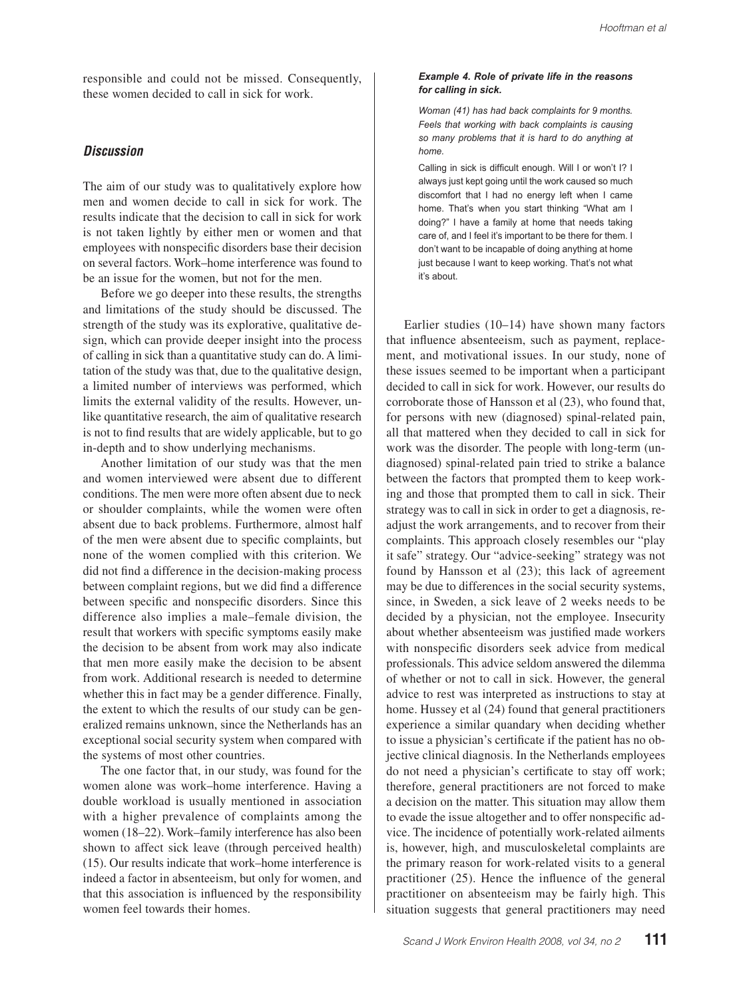responsible and could not be missed. Consequently, these women decided to call in sick for work.

# *Discussion*

The aim of our study was to qualitatively explore how men and women decide to call in sick for work. The results indicate that the decision to call in sick for work is not taken lightly by either men or women and that employees with nonspecific disorders base their decision on several factors. Work–home interference was found to be an issue for the women, but not for the men.

Before we go deeper into these results, the strengths and limitations of the study should be discussed. The strength of the study was its explorative, qualitative design, which can provide deeper insight into the process of calling in sick than a quantitative study can do. A limitation of the study was that, due to the qualitative design, a limited number of interviews was performed, which limits the external validity of the results. However, unlike quantitative research, the aim of qualitative research is not to find results that are widely applicable, but to go in-depth and to show underlying mechanisms.

Another limitation of our study was that the men and women interviewed were absent due to different conditions. The men were more often absent due to neck or shoulder complaints, while the women were often absent due to back problems. Furthermore, almost half of the men were absent due to specific complaints, but none of the women complied with this criterion. We did not find a difference in the decision-making process between complaint regions, but we did find a difference between specific and nonspecific disorders. Since this difference also implies a male–female division, the result that workers with specific symptoms easily make the decision to be absent from work may also indicate that men more easily make the decision to be absent from work. Additional research is needed to determine whether this in fact may be a gender difference. Finally, the extent to which the results of our study can be generalized remains unknown, since the Netherlands has an exceptional social security system when compared with the systems of most other countries.

The one factor that, in our study, was found for the women alone was work–home interference. Having a double workload is usually mentioned in association with a higher prevalence of complaints among the women (18–22). Work–family interference has also been shown to affect sick leave (through perceived health) (15). Our results indicate that work–home interference is indeed a factor in absenteeism, but only for women, and that this association is influenced by the responsibility women feel towards their homes.

#### *Example 4. Role of private life in the reasons for calling in sick.*

*Woman (41) has had back complaints for 9 months. Feels that working with back complaints is causing so many problems that it is hard to do anything at home.*

Calling in sick is difficult enough. Will I or won't I? I always just kept going until the work caused so much discomfort that I had no energy left when I came home. That's when you start thinking "What am I doing?" I have a family at home that needs taking care of, and I feel it's important to be there for them. I don't want to be incapable of doing anything at home just because I want to keep working. That's not what it's about.

Earlier studies (10–14) have shown many factors that influence absenteeism, such as payment, replacement, and motivational issues. In our study, none of these issues seemed to be important when a participant decided to call in sick for work. However, our results do corroborate those of Hansson et al (23), who found that, for persons with new (diagnosed) spinal-related pain, all that mattered when they decided to call in sick for work was the disorder. The people with long-term (undiagnosed) spinal-related pain tried to strike a balance between the factors that prompted them to keep working and those that prompted them to call in sick. Their strategy was to call in sick in order to get a diagnosis, readjust the work arrangements, and to recover from their complaints. This approach closely resembles our "play it safe" strategy. Our "advice-seeking" strategy was not found by Hansson et al (23); this lack of agreement may be due to differences in the social security systems, since, in Sweden, a sick leave of 2 weeks needs to be decided by a physician, not the employee. Insecurity about whether absenteeism was justified made workers with nonspecific disorders seek advice from medical professionals. This advice seldom answered the dilemma of whether or not to call in sick. However, the general advice to rest was interpreted as instructions to stay at home. Hussey et al (24) found that general practitioners experience a similar quandary when deciding whether to issue a physician's certificate if the patient has no objective clinical diagnosis. In the Netherlands employees do not need a physician's certificate to stay off work; therefore, general practitioners are not forced to make a decision on the matter. This situation may allow them to evade the issue altogether and to offer nonspecific advice. The incidence of potentially work-related ailments is, however, high, and musculoskeletal complaints are the primary reason for work-related visits to a general practitioner (25). Hence the influence of the general practitioner on absenteeism may be fairly high. This situation suggests that general practitioners may need